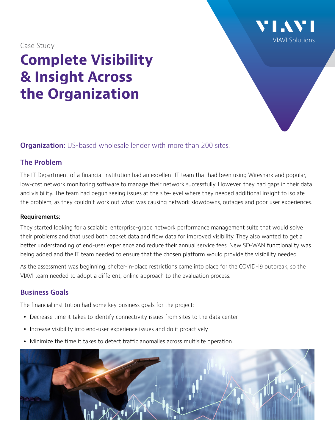

Case Study

# **Complete Visibility & Insight Across the Organization**

**Organization:** US-based wholesale lender with more than 200 sites.

## **The Problem**

The IT Department of a financial institution had an excellent IT team that had been using Wireshark and popular, low-cost network monitoring software to manage their network successfully. However, they had gaps in their data and visibility. The team had begun seeing issues at the site-level where they needed additional insight to isolate the problem, as they couldn't work out what was causing network slowdowns, outages and poor user experiences.

#### **Requirements:**

They started looking for a scalable, enterprise-grade network performance management suite that would solve their problems and that used both packet data and flow data for improved visibility. They also wanted to get a better understanding of end-user experience and reduce their annual service fees. New SD-WAN functionality was being added and the IT team needed to ensure that the chosen platform would provide the visibility needed.

As the assessment was beginning, shelter-in-place restrictions came into place for the COVID-19 outbreak, so the VIAVI team needed to adopt a different, online approach to the evaluation process.

### **Business Goals**

The financial institution had some key business goals for the project:

- Decrease time it takes to identify connectivity issues from sites to the data center
- Increase visibility into end-user experience issues and do it proactively
- Minimize the time it takes to detect traffic anomalies across multisite operation